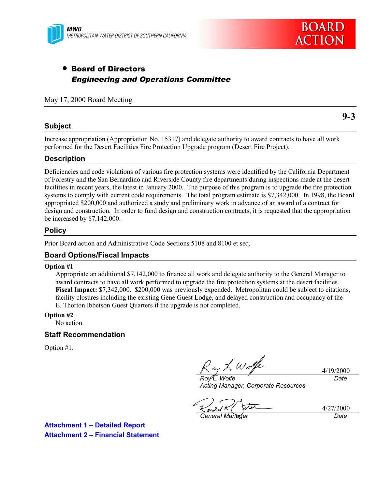

# • Board of Directors Engineering and Operations Committee

May 17, 2000 Board Meeting

### **Subject**

**9-3**

Increase appropriation (Appropriation No. 15317) and delegate authority to award contracts to have all work performed for the Desert Facilities Fire Protection Upgrade program (Desert Fire Project).

### **Description**

Deficiencies and code violations of various fire protection systems were identified by the California Department of Forestry and the San Bernardino and Riverside County fire departments during inspections made at the desert facilities in recent years, the latest in January 2000. The purpose of this program is to upgrade the fire protection systems to comply with current code requirements. The total program estimate is \$7,342,000. In 1998, the Board appropriated \$200,000 and authorized a study and preliminary work in advance of an award of a contract for design and construction. In order to fund design and construction contracts, it is requested that the appropriation be increased by \$7,142,000.

### **Policy**

Prior Board action and Administrative Code Sections 5108 and 8100 et seq.

### **Board Options/Fiscal Impacts**

#### **Option #1**

Appropriate an additional \$7,142,000 to finance all work and delegate authority to the General Manager to award contracts to have all work performed to upgrade the fire protection systems at the desert facilities. **Fiscal Impact:** \$7,342,000. \$200,000 was previously expended. Metropolitan could be subject to citations, facility closures including the existing Gene Guest Lodge, and delayed construction and occupancy of the E. Thorton Ibbetson Guest Quarters if the upgrade is not completed.

#### **Option #2**

No action.

#### **Staff Recommendation**

Option #1.

ay L. Wolfe

4/19/2000 *Date*

*Roy L. Wolfe Acting Manager, Corporate Resources*

*General Manager Date*

4/27/2000

**Attachment 1 – Detailed Report Attachment 2 – Financial Statement**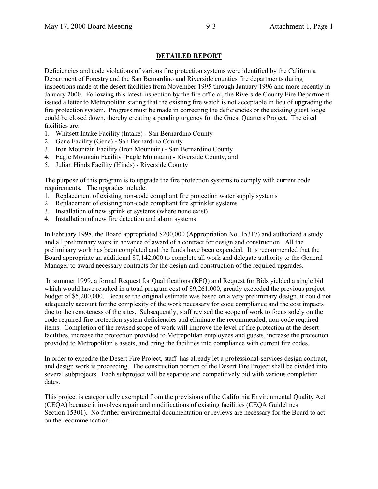## **DETAILED REPORT**

Deficiencies and code violations of various fire protection systems were identified by the California Department of Forestry and the San Bernardino and Riverside counties fire departments during inspections made at the desert facilities from November 1995 through January 1996 and more recently in January 2000. Following this latest inspection by the fire official, the Riverside County Fire Department issued a letter to Metropolitan stating that the existing fire watch is not acceptable in lieu of upgrading the fire protection system. Progress must be made in correcting the deficiencies or the existing guest lodge could be closed down, thereby creating a pending urgency for the Guest Quarters Project. The cited facilities are:

- 1. Whitsett Intake Facility (Intake) San Bernardino County
- 2. Gene Facility (Gene) San Bernardino County
- 3. Iron Mountain Facility (Iron Mountain) San Bernardino County
- 4. Eagle Mountain Facility (Eagle Mountain) Riverside County, and
- 5. Julian Hinds Facility (Hinds) Riverside County

The purpose of this program is to upgrade the fire protection systems to comply with current code requirements. The upgrades include:

- 1. Replacement of existing non-code compliant fire protection water supply systems
- 2. Replacement of existing non-code compliant fire sprinkler systems
- 3. Installation of new sprinkler systems (where none exist)
- 4. Installation of new fire detection and alarm systems

In February 1998, the Board appropriated \$200,000 (Appropriation No. 15317) and authorized a study and all preliminary work in advance of award of a contract for design and construction. All the preliminary work has been completed and the funds have been expended. It is recommended that the Board appropriate an additional \$7,142,000 to complete all work and delegate authority to the General Manager to award necessary contracts for the design and construction of the required upgrades.

 In summer 1999, a formal Request for Qualifications (RFQ) and Request for Bids yielded a single bid which would have resulted in a total program cost of \$9,261,000, greatly exceeded the previous project budget of \$5,200,000. Because the original estimate was based on a very preliminary design, it could not adequately account for the complexity of the work necessary for code compliance and the cost impacts due to the remoteness of the sites. Subsequently, staff revised the scope of work to focus solely on the code required fire protection system deficiencies and eliminate the recommended, non-code required items. Completion of the revised scope of work will improve the level of fire protection at the desert facilities, increase the protection provided to Metropolitan employees and guests, increase the protection provided to Metropolitan's assets, and bring the facilities into compliance with current fire codes.

In order to expedite the Desert Fire Project, staff has already let a professional-services design contract, and design work is proceeding. The construction portion of the Desert Fire Project shall be divided into several subprojects. Each subproject will be separate and competitively bid with various completion dates.

This project is categorically exempted from the provisions of the California Environmental Quality Act (CEQA) because it involves repair and modifications of existing facilities (CEQA Guidelines Section 15301). No further environmental documentation or reviews are necessary for the Board to act on the recommendation.